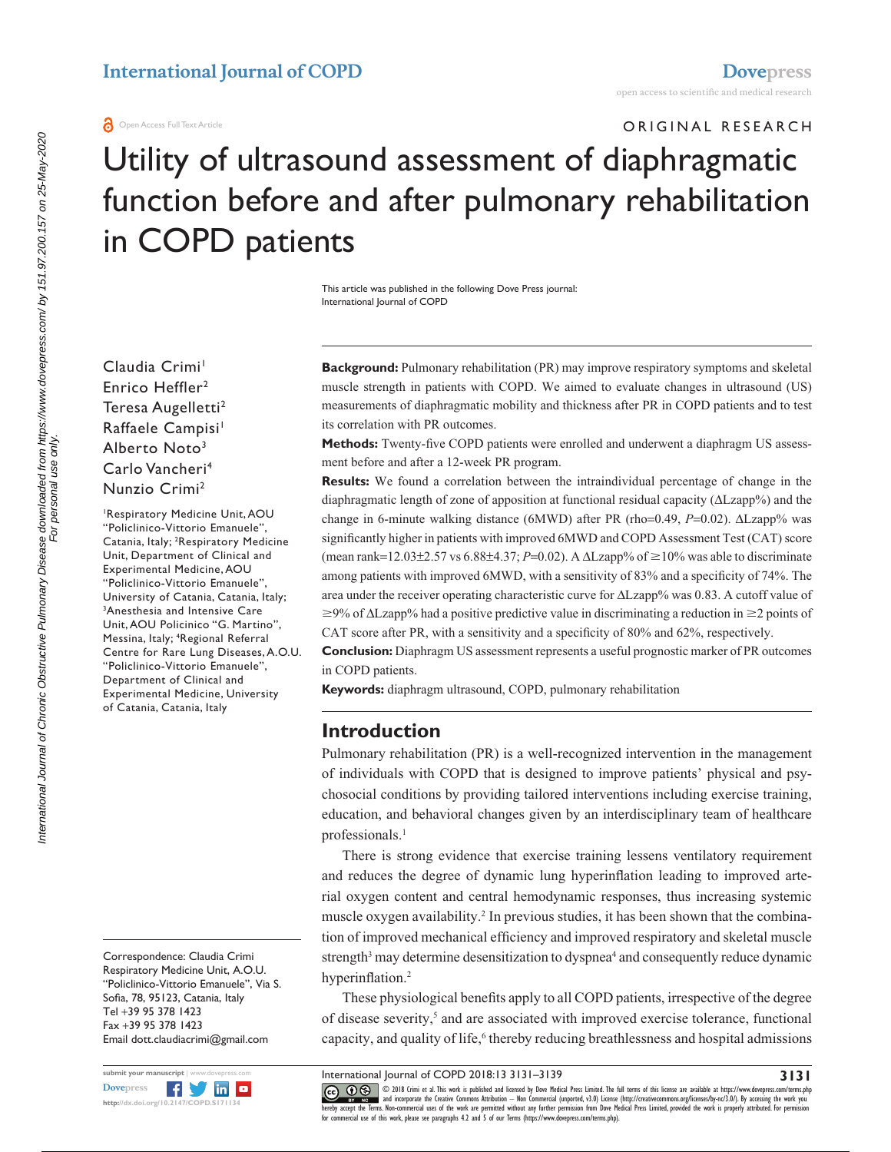ORIGINAL RESEARCH

# Utility of ultrasound assessment of diaphragmatic function before and after pulmonary rehabilitation in COPD patients

This article was published in the following Dove Press journal: International Journal of COPD

Claudia Crimi<sup>1</sup> Enrico Heffler<sup>2</sup> Teresa Augelletti<sup>2</sup> Raffaele Campisi<sup>1</sup> Alberto Noto3 Carlo Vancheri4 Nunzio Crimi2

1 Respiratory Medicine Unit, AOU "Policlinico-Vittorio Emanuele", Catania, Italy; <sup>2</sup>Respiratory Medicine Unit, Department of Clinical and Experimental Medicine, AOU "Policlinico-Vittorio Emanuele", University of Catania, Catania, Italy; 3 Anesthesia and Intensive Care Unit, AOU Policinico "G. Martino", Messina, Italy; 4 Regional Referral Centre for Rare Lung Diseases, A.O.U. "Policlinico-Vittorio Emanuele", Department of Clinical and Experimental Medicine, University of Catania, Catania, Italy

Correspondence: Claudia Crimi Respiratory Medicine Unit, A.O.U. "Policlinico-Vittorio Emanuele", Via S. Sofia, 78, 95123, Catania, Italy Tel +39 95 378 1423 Fax +39 95 378 1423 Email [dott.claudiacrimi@gmail.com](mailto:dott.claudiacrimi@gmail.com)



**Background:** Pulmonary rehabilitation (PR) may improve respiratory symptoms and skeletal muscle strength in patients with COPD. We aimed to evaluate changes in ultrasound (US) measurements of diaphragmatic mobility and thickness after PR in COPD patients and to test its correlation with PR outcomes.

**Methods:** Twenty-five COPD patients were enrolled and underwent a diaphragm US assessment before and after a 12-week PR program.

**Results:** We found a correlation between the intraindividual percentage of change in the diaphragmatic length of zone of apposition at functional residual capacity (ΔLzapp%) and the change in 6-minute walking distance (6MWD) after PR (rho=0.49, *P*=0.02). ΔLzapp% was significantly higher in patients with improved 6MWD and COPD Assessment Test (CAT) score (mean rank=12.03±2.57 vs 6.88±4.37; *P*=0.02). A  $\Delta$ Lzapp% of  $\geq$ 10% was able to discriminate among patients with improved 6MWD, with a sensitivity of 83% and a specificity of 74%. The area under the receiver operating characteristic curve for ΔLzapp% was 0.83. A cutoff value of  $\geq$ 9% of  $\Delta$ Lzapp% had a positive predictive value in discriminating a reduction in  $\geq$  points of CAT score after PR, with a sensitivity and a specificity of 80% and 62%, respectively.

**Conclusion:** Diaphragm US assessment represents a useful prognostic marker of PR outcomes in COPD patients.

**Keywords:** diaphragm ultrasound, COPD, pulmonary rehabilitation

# **Introduction**

Pulmonary rehabilitation (PR) is a well-recognized intervention in the management of individuals with COPD that is designed to improve patients' physical and psychosocial conditions by providing tailored interventions including exercise training, education, and behavioral changes given by an interdisciplinary team of healthcare professionals.<sup>1</sup>

There is strong evidence that exercise training lessens ventilatory requirement and reduces the degree of dynamic lung hyperinflation leading to improved arterial oxygen content and central hemodynamic responses, thus increasing systemic muscle oxygen availability.<sup>2</sup> In previous studies, it has been shown that the combination of improved mechanical efficiency and improved respiratory and skeletal muscle strength<sup>3</sup> may determine desensitization to dyspnea<sup>4</sup> and consequently reduce dynamic hyperinflation.<sup>2</sup>

These physiological benefits apply to all COPD patients, irrespective of the degree of disease severity,<sup>5</sup> and are associated with improved exercise tolerance, functional capacity, and quality of life,<sup>6</sup> thereby reducing breathlessness and hospital admissions

International Journal of COPD 2018:13 3131–3139

CCC 1 © 2018 Crimi et al. This work is published and licensed by Dove Medical Press Limited. The full terms of this license are available at <https://www.dovepress.com/terms.php><br>[hereby accept the Terms](http://www.dovepress.com/permissions.php). Non-commercial uses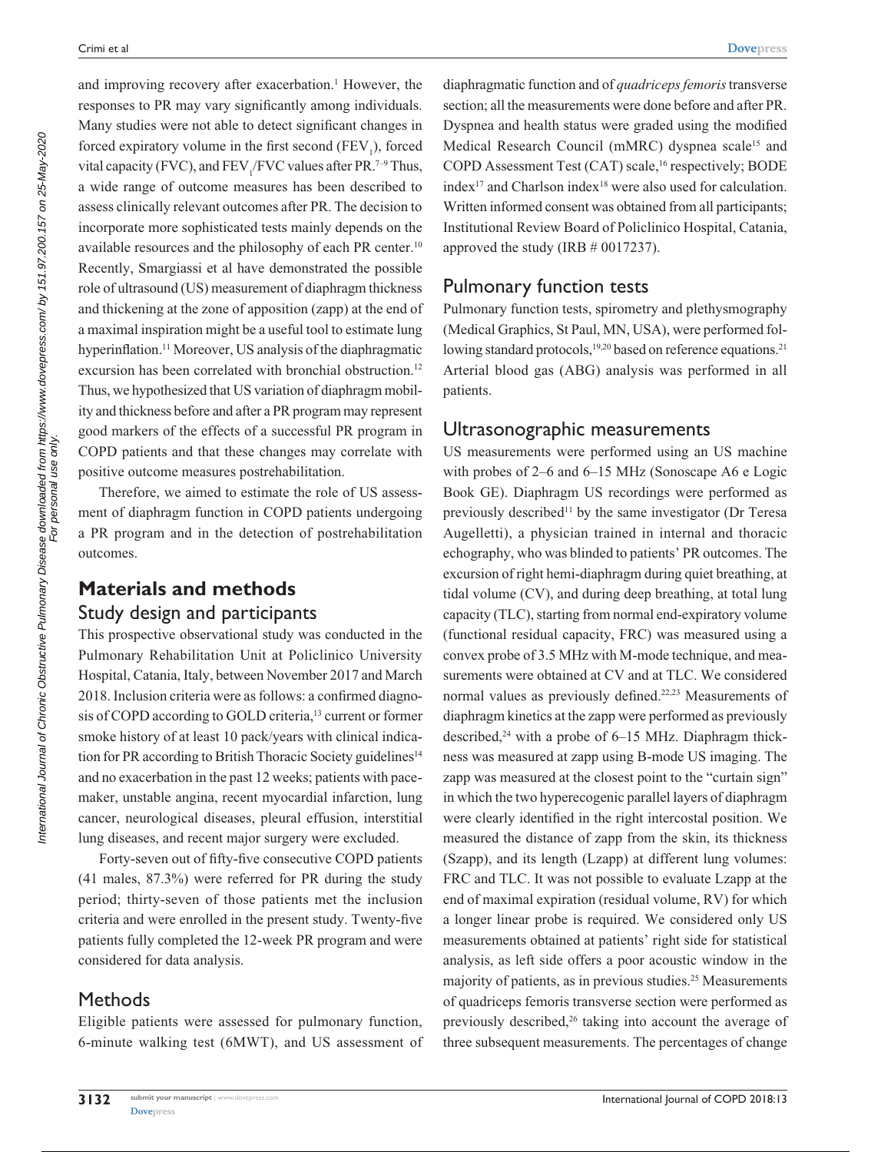and improving recovery after exacerbation.<sup>1</sup> However, the responses to PR may vary significantly among individuals. Many studies were not able to detect significant changes in forced expiratory volume in the first second  $(FEV_1)$ , forced vital capacity (FVC), and  $\text{FEV}_1/\text{FVC}$  values after PR.<sup>7-9</sup> Thus, a wide range of outcome measures has been described to assess clinically relevant outcomes after PR. The decision to incorporate more sophisticated tests mainly depends on the available resources and the philosophy of each PR center.10 Recently, Smargiassi et al have demonstrated the possible role of ultrasound (US) measurement of diaphragm thickness and thickening at the zone of apposition (zapp) at the end of a maximal inspiration might be a useful tool to estimate lung hyperinflation.<sup>11</sup> Moreover, US analysis of the diaphragmatic excursion has been correlated with bronchial obstruction.<sup>12</sup> Thus, we hypothesized that US variation of diaphragm mobility and thickness before and after a PR program may represent good markers of the effects of a successful PR program in COPD patients and that these changes may correlate with positive outcome measures postrehabilitation.

Therefore, we aimed to estimate the role of US assessment of diaphragm function in COPD patients undergoing a PR program and in the detection of postrehabilitation outcomes.

# **Materials and methods** Study design and participants

This prospective observational study was conducted in the Pulmonary Rehabilitation Unit at Policlinico University Hospital, Catania, Italy, between November 2017 and March 2018. Inclusion criteria were as follows: a confirmed diagnosis of COPD according to GOLD criteria,<sup>13</sup> current or former smoke history of at least 10 pack/years with clinical indication for PR according to British Thoracic Society guidelines<sup>14</sup> and no exacerbation in the past 12 weeks; patients with pacemaker, unstable angina, recent myocardial infarction, lung cancer, neurological diseases, pleural effusion, interstitial lung diseases, and recent major surgery were excluded.

Forty-seven out of fifty-five consecutive COPD patients (41 males, 87.3%) were referred for PR during the study period; thirty-seven of those patients met the inclusion criteria and were enrolled in the present study. Twenty-five patients fully completed the 12-week PR program and were considered for data analysis.

# **Methods**

Eligible patients were assessed for pulmonary function, 6-minute walking test (6MWT), and US assessment of

diaphragmatic function and of *quadriceps femoris* transverse section; all the measurements were done before and after PR. Dyspnea and health status were graded using the modified Medical Research Council (mMRC) dyspnea scale<sup>15</sup> and COPD Assessment Test (CAT) scale,<sup>16</sup> respectively; BODE index<sup>17</sup> and Charlson index<sup>18</sup> were also used for calculation. Written informed consent was obtained from all participants; Institutional Review Board of Policlinico Hospital, Catania, approved the study (IRB # 0017237).

# Pulmonary function tests

Pulmonary function tests, spirometry and plethysmography (Medical Graphics, St Paul, MN, USA), were performed following standard protocols,<sup>19,20</sup> based on reference equations.<sup>21</sup> Arterial blood gas (ABG) analysis was performed in all patients.

# Ultrasonographic measurements

US measurements were performed using an US machine with probes of 2–6 and 6–15 MHz (Sonoscape A6 e Logic Book GE). Diaphragm US recordings were performed as previously described<sup>11</sup> by the same investigator (Dr Teresa Augelletti), a physician trained in internal and thoracic echography, who was blinded to patients' PR outcomes. The excursion of right hemi-diaphragm during quiet breathing, at tidal volume (CV), and during deep breathing, at total lung capacity (TLC), starting from normal end-expiratory volume (functional residual capacity, FRC) was measured using a convex probe of 3.5 MHz with M-mode technique, and measurements were obtained at CV and at TLC. We considered normal values as previously defined.22,23 Measurements of diaphragm kinetics at the zapp were performed as previously described,<sup>24</sup> with a probe of 6–15 MHz. Diaphragm thickness was measured at zapp using B-mode US imaging. The zapp was measured at the closest point to the "curtain sign" in which the two hyperecogenic parallel layers of diaphragm were clearly identified in the right intercostal position. We measured the distance of zapp from the skin, its thickness (Szapp), and its length (Lzapp) at different lung volumes: FRC and TLC. It was not possible to evaluate Lzapp at the end of maximal expiration (residual volume, RV) for which a longer linear probe is required. We considered only US measurements obtained at patients' right side for statistical analysis, as left side offers a poor acoustic window in the majority of patients, as in previous studies.<sup>25</sup> Measurements of quadriceps femoris transverse section were performed as previously described,<sup>26</sup> taking into account the average of three subsequent measurements. The percentages of change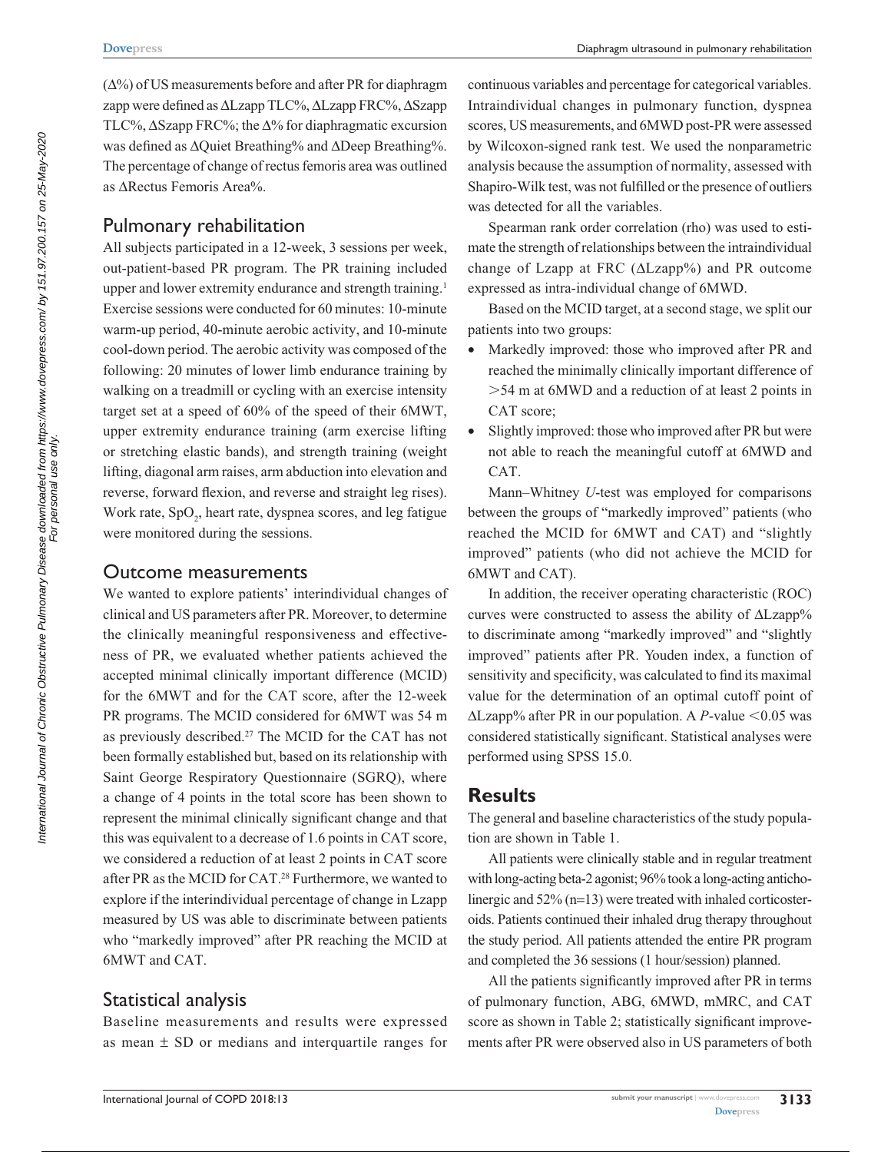$(\Delta\%)$  of US measurements before and after PR for diaphragm zapp were defined as ΔLzapp TLC%, ΔLzapp FRC%, ΔSzapp TLC%,  $\Delta$ Szapp FRC%; the  $\Delta$ % for diaphragmatic excursion was defined as ΔQuiet Breathing% and ΔDeep Breathing%. The percentage of change of rectus femoris area was outlined as ΔRectus Femoris Area%.

### Pulmonary rehabilitation

All subjects participated in a 12-week, 3 sessions per week, out-patient-based PR program. The PR training included upper and lower extremity endurance and strength training.<sup>1</sup> Exercise sessions were conducted for 60 minutes: 10-minute warm-up period, 40-minute aerobic activity, and 10-minute cool-down period. The aerobic activity was composed of the following: 20 minutes of lower limb endurance training by walking on a treadmill or cycling with an exercise intensity target set at a speed of 60% of the speed of their 6MWT, upper extremity endurance training (arm exercise lifting or stretching elastic bands), and strength training (weight lifting, diagonal arm raises, arm abduction into elevation and reverse, forward flexion, and reverse and straight leg rises). Work rate, SpO<sub>2</sub>, heart rate, dyspnea scores, and leg fatigue were monitored during the sessions.

#### Outcome measurements

We wanted to explore patients' interindividual changes of clinical and US parameters after PR. Moreover, to determine the clinically meaningful responsiveness and effectiveness of PR, we evaluated whether patients achieved the accepted minimal clinically important difference (MCID) for the 6MWT and for the CAT score, after the 12-week PR programs. The MCID considered for 6MWT was 54 m as previously described.27 The MCID for the CAT has not been formally established but, based on its relationship with Saint George Respiratory Questionnaire (SGRQ), where a change of 4 points in the total score has been shown to represent the minimal clinically significant change and that this was equivalent to a decrease of 1.6 points in CAT score, we considered a reduction of at least 2 points in CAT score after PR as the MCID for CAT.28 Furthermore, we wanted to explore if the interindividual percentage of change in Lzapp measured by US was able to discriminate between patients who "markedly improved" after PR reaching the MCID at 6MWT and CAT.

## Statistical analysis

Baseline measurements and results were expressed as mean  $\pm$  SD or medians and interquartile ranges for continuous variables and percentage for categorical variables. Intraindividual changes in pulmonary function, dyspnea scores, US measurements, and 6MWD post-PR were assessed by Wilcoxon-signed rank test. We used the nonparametric analysis because the assumption of normality, assessed with Shapiro-Wilk test, was not fulfilled or the presence of outliers was detected for all the variables.

Spearman rank order correlation (rho) was used to estimate the strength of relationships between the intraindividual change of Lzapp at FRC (ΔLzapp%) and PR outcome expressed as intra-individual change of 6MWD.

Based on the MCID target, at a second stage, we split our patients into two groups:

- Markedly improved: those who improved after PR and reached the minimally clinically important difference of .54 m at 6MWD and a reduction of at least 2 points in CAT score;
- Slightly improved: those who improved after PR but were not able to reach the meaningful cutoff at 6MWD and CAT.

Mann–Whitney *U*-test was employed for comparisons between the groups of "markedly improved" patients (who reached the MCID for 6MWT and CAT) and "slightly improved" patients (who did not achieve the MCID for 6MWT and CAT).

In addition, the receiver operating characteristic (ROC) curves were constructed to assess the ability of ΔLzapp% to discriminate among "markedly improved" and "slightly improved" patients after PR. Youden index, a function of sensitivity and specificity, was calculated to find its maximal value for the determination of an optimal cutoff point of  $\Delta$ Lzapp% after PR in our population. A *P*-value < 0.05 was considered statistically significant. Statistical analyses were performed using SPSS 15.0.

## **Results**

The general and baseline characteristics of the study population are shown in Table 1.

All patients were clinically stable and in regular treatment with long-acting beta-2 agonist; 96% took a long-acting anticholinergic and 52% (n=13) were treated with inhaled corticosteroids. Patients continued their inhaled drug therapy throughout the study period. All patients attended the entire PR program and completed the 36 sessions (1 hour/session) planned.

All the patients significantly improved after PR in terms of pulmonary function, ABG, 6MWD, mMRC, and CAT score as shown in Table 2; statistically significant improvements after PR were observed also in US parameters of both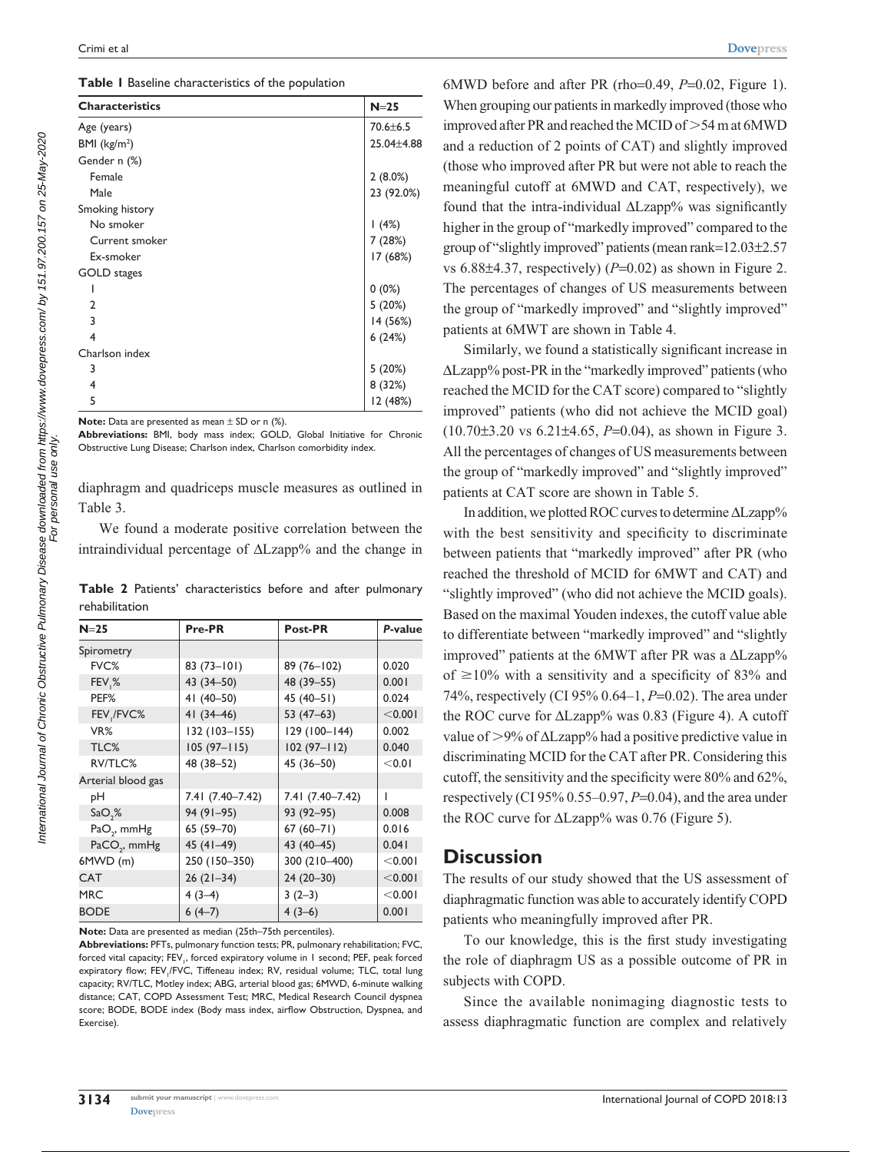|  |  | Table I Baseline characteristics of the population |  |  |
|--|--|----------------------------------------------------|--|--|
|--|--|----------------------------------------------------|--|--|

| <b>Characteristics</b> | $N=25$         |
|------------------------|----------------|
| Age (years)            | $70.6 \pm 6.5$ |
| BMI $(kg/m2)$          | 25.04±4.88     |
| Gender n (%)           |                |
| Female                 | 2(8.0%)        |
| Male                   | 23 (92.0%)     |
| Smoking history        |                |
| No smoker              | 1(4%)          |
| Current smoker         | 7 (28%)        |
| Ex-smoker              | 17 (68%)       |
| GOLD stages            |                |
|                        | $0(0\%)$       |
| $\mathbf{2}$           | 5(20%)         |
| 3                      | 14 (56%)       |
| 4                      | 6(24%)         |
| Charlson index         |                |
| 3                      | 5(20%)         |
| 4                      | 8 (32%)        |
| 5                      | 12 (48%)       |

**Note:** Data are presented as mean  $\pm$  SD or n (%).

**Abbreviations:** BMI, body mass index; GOLD, Global Initiative for Chronic Obstructive Lung Disease; Charlson index, Charlson comorbidity index.

diaphragm and quadriceps muscle measures as outlined in Table 3.

We found a moderate positive correlation between the intraindividual percentage of ΔLzapp% and the change in

|                |  | Table 2 Patients' characteristics before and after pulmonary |  |  |
|----------------|--|--------------------------------------------------------------|--|--|
| rehabilitation |  |                                                              |  |  |

| $N=25$                   | Pre-PR           | Post-PR          | P-value  |  |
|--------------------------|------------------|------------------|----------|--|
| Spirometry               |                  |                  |          |  |
| FVC%                     | $83(73 - 101)$   | 89 (76-102)      | 0.020    |  |
| FEV <sub>,</sub> %       | 43 (34-50)       | 48 (39 - 55)     | 0.001    |  |
| PEF%                     | 41 (40-50)       | 45 (40-51)       | 0.024    |  |
| FEV, / FVC%              | $41(34-46)$      | 53 (47–63)       | < 0.001  |  |
| VR%                      | 132 (103-155)    | 129 (100-144)    | 0.002    |  |
| TLC%                     | $105(97 - 115)$  | $102(97 - 112)$  | 0.040    |  |
| RV/TLC%                  | 48 (38-52)       | 45 (36-50)       | < 0.01   |  |
| Arterial blood gas       |                  |                  |          |  |
| pН                       | 7.41 (7.40-7.42) | 7.41 (7.40-7.42) |          |  |
| SaO,%                    | 94 (91-95)       | 93 (92-95)       | 0.008    |  |
| $PaO2$ , mmHg            | 65 (59-70)       | $67(60 - 71)$    | 0.016    |  |
| PaCO <sub>2</sub> , mmHg | 45 (41-49)       | 43 (40-45)       | 0.041    |  |
| $6MWD$ (m)               | 250 (150-350)    | 300 (210-400)    | $<$ 0.00 |  |
| <b>CAT</b>               | $26(21-34)$      | 24 (20-30)       | < 0.001  |  |
| <b>MRC</b>               | $4(3-4)$         | $3(2-3)$         | < 0.001  |  |
| <b>BODE</b>              | $6(4-7)$         | $4(3-6)$         | 0.001    |  |

**Note:** Data are presented as median (25th–75th percentiles).

**Abbreviations:** PFTs, pulmonary function tests; PR, pulmonary rehabilitation; FVC, forced vital capacity; FEV<sub>1</sub>, forced expiratory volume in 1 second; PEF, peak forced expiratory flow; FEV<sub>1</sub>/FVC, Tiffeneau index; RV, residual volume; TLC, total lung capacity; RV/TLC, Motley index; ABG, arterial blood gas; 6MWD, 6-minute walking distance; CAT, COPD Assessment Test; MRC, Medical Research Council dyspnea score; BODE, BODE index (Body mass index, airflow Obstruction, Dyspnea, and Exercise).

6MWD before and after PR (rho=0.49, *P*=0.02, Figure 1). When grouping our patients in markedly improved (those who improved after PR and reached the MCID of  $>54$  m at 6MWD and a reduction of 2 points of CAT) and slightly improved (those who improved after PR but were not able to reach the meaningful cutoff at 6MWD and CAT, respectively), we found that the intra-individual ΔLzapp% was significantly higher in the group of "markedly improved" compared to the group of "slightly improved" patients (mean rank=12.03±2.57 vs  $6.88\pm4.37$ , respectively) ( $P=0.02$ ) as shown in Figure 2. The percentages of changes of US measurements between the group of "markedly improved" and "slightly improved" patients at 6MWT are shown in Table 4.

Similarly, we found a statistically significant increase in ΔLzapp% post-PR in the "markedly improved" patients (who reached the MCID for the CAT score) compared to "slightly improved" patients (who did not achieve the MCID goal) (10.70±3.20 vs 6.21±4.65, *P*=0.04), as shown in Figure 3. All the percentages of changes of US measurements between the group of "markedly improved" and "slightly improved" patients at CAT score are shown in Table 5.

In addition, we plotted ROC curves to determine ΔLzapp% with the best sensitivity and specificity to discriminate between patients that "markedly improved" after PR (who reached the threshold of MCID for 6MWT and CAT) and "slightly improved" (who did not achieve the MCID goals). Based on the maximal Youden indexes, the cutoff value able to differentiate between "markedly improved" and "slightly improved" patients at the 6MWT after PR was a ΔLzapp% of  $\geq$ 10% with a sensitivity and a specificity of 83% and 74%, respectively (CI 95% 0.64–1, *P*=0.02). The area under the ROC curve for ΔLzapp% was 0.83 (Figure 4). A cutoff value of  $>9\%$  of  $\Delta$ Lzapp% had a positive predictive value in discriminating MCID for the CAT after PR. Considering this cutoff, the sensitivity and the specificity were 80% and 62%, respectively (CI 95% 0.55–0.97, *P*=0.04), and the area under the ROC curve for  $\Delta$ Lzapp% was 0.76 (Figure 5).

#### **Discussion**

The results of our study showed that the US assessment of diaphragmatic function was able to accurately identify COPD patients who meaningfully improved after PR.

To our knowledge, this is the first study investigating the role of diaphragm US as a possible outcome of PR in subjects with COPD.

Since the available nonimaging diagnostic tests to assess diaphragmatic function are complex and relatively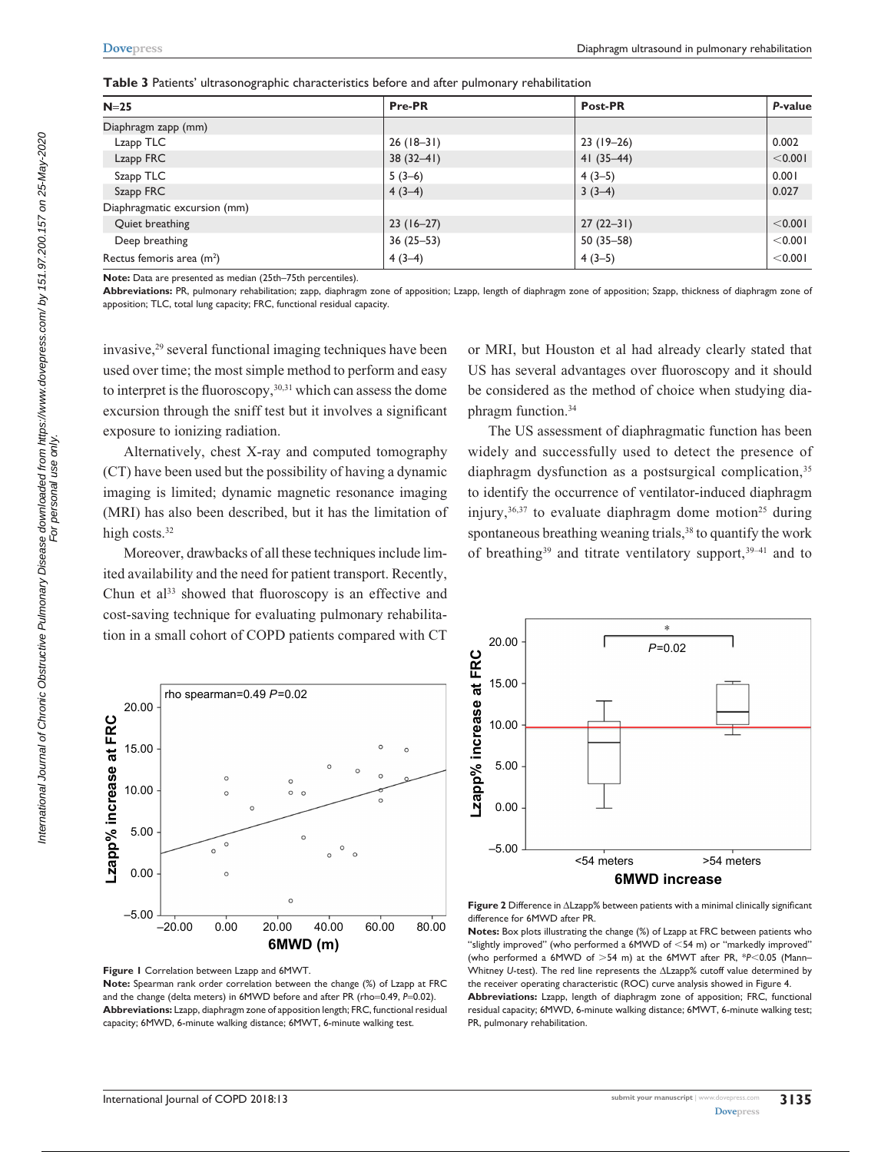| $N=25$                       | Pre-PR      | Post-PR       | P-value |
|------------------------------|-------------|---------------|---------|
| Diaphragm zapp (mm)          |             |               |         |
| Lzapp TLC                    | $26(18-31)$ | $23(19-26)$   | 0.002   |
| Lzapp FRC                    | $38(32-41)$ | $41(35-44)$   | < 0.001 |
| Szapp TLC                    | $5(3-6)$    | $4(3-5)$      | 0.001   |
| Szapp FRC                    | $4(3-4)$    | $3(3-4)$      | 0.027   |
| Diaphragmatic excursion (mm) |             |               |         |
| Quiet breathing              | $23(16-27)$ | $27(22-31)$   | < 0.001 |
| Deep breathing               | $36(25-53)$ | $50(35 - 58)$ | < 0.001 |
| Rectus femoris area $(m2)$   | $4(3-4)$    | $4(3-5)$      | < 0.001 |

**Table 3** Patients' ultrasonographic characteristics before and after pulmonary rehabilitation

**Note:** Data are presented as median (25th–75th percentiles).

**Abbreviations:** PR, pulmonary rehabilitation; zapp, diaphragm zone of apposition; Lzapp, length of diaphragm zone of apposition; Szapp, thickness of diaphragm zone of apposition; TLC, total lung capacity; FRC, functional residual capacity.

invasive,29 several functional imaging techniques have been used over time; the most simple method to perform and easy to interpret is the fluoroscopy,  $30,31$  which can assess the dome excursion through the sniff test but it involves a significant exposure to ionizing radiation.

Alternatively, chest X-ray and computed tomography (CT) have been used but the possibility of having a dynamic imaging is limited; dynamic magnetic resonance imaging (MRI) has also been described, but it has the limitation of high costs.<sup>32</sup>

Moreover, drawbacks of all these techniques include limited availability and the need for patient transport. Recently, Chun et  $al^{33}$  showed that fluoroscopy is an effective and cost-saving technique for evaluating pulmonary rehabilitation in a small cohort of COPD patients compared with CT or MRI, but Houston et al had already clearly stated that US has several advantages over fluoroscopy and it should be considered as the method of choice when studying diaphragm function.34

The US assessment of diaphragmatic function has been widely and successfully used to detect the presence of diaphragm dysfunction as a postsurgical complication,<sup>35</sup> to identify the occurrence of ventilator-induced diaphragm injury,  $36,37$  to evaluate diaphragm dome motion<sup>25</sup> during spontaneous breathing weaning trials,<sup>38</sup> to quantify the work of breathing<sup>39</sup> and titrate ventilatory support,<sup>39-41</sup> and to





**Note:** Spearman rank order correlation between the change (%) of Lzapp at FRC and the change (delta meters) in 6MWD before and after PR (rho=0.49, P=0.02). **Abbreviations:** Lzapp, diaphragm zone of apposition length; FRC, functional residual capacity; 6MWD, 6-minute walking distance; 6MWT, 6-minute walking test.



**Figure 2** Difference in ΔLzapp% between patients with a minimal clinically significant difference for 6MWD after PR.

**Notes:** Box plots illustrating the change (%) of Lzapp at FRC between patients who "slightly improved" (who performed a 6MWD of <54 m) or "markedly improved" (who performed a 6MWD of >54 m) at the 6MWT after PR, \**P*<0.05 (Mann-Whitney *U*-test). The red line represents the ΔLzapp% cutoff value determined by the receiver operating characteristic (ROC) curve analysis showed in Figure 4.

**Abbreviations:** Lzapp, length of diaphragm zone of apposition; FRC, functional residual capacity; 6MWD, 6-minute walking distance; 6MWT, 6-minute walking test; PR, pulmonary rehabilitation.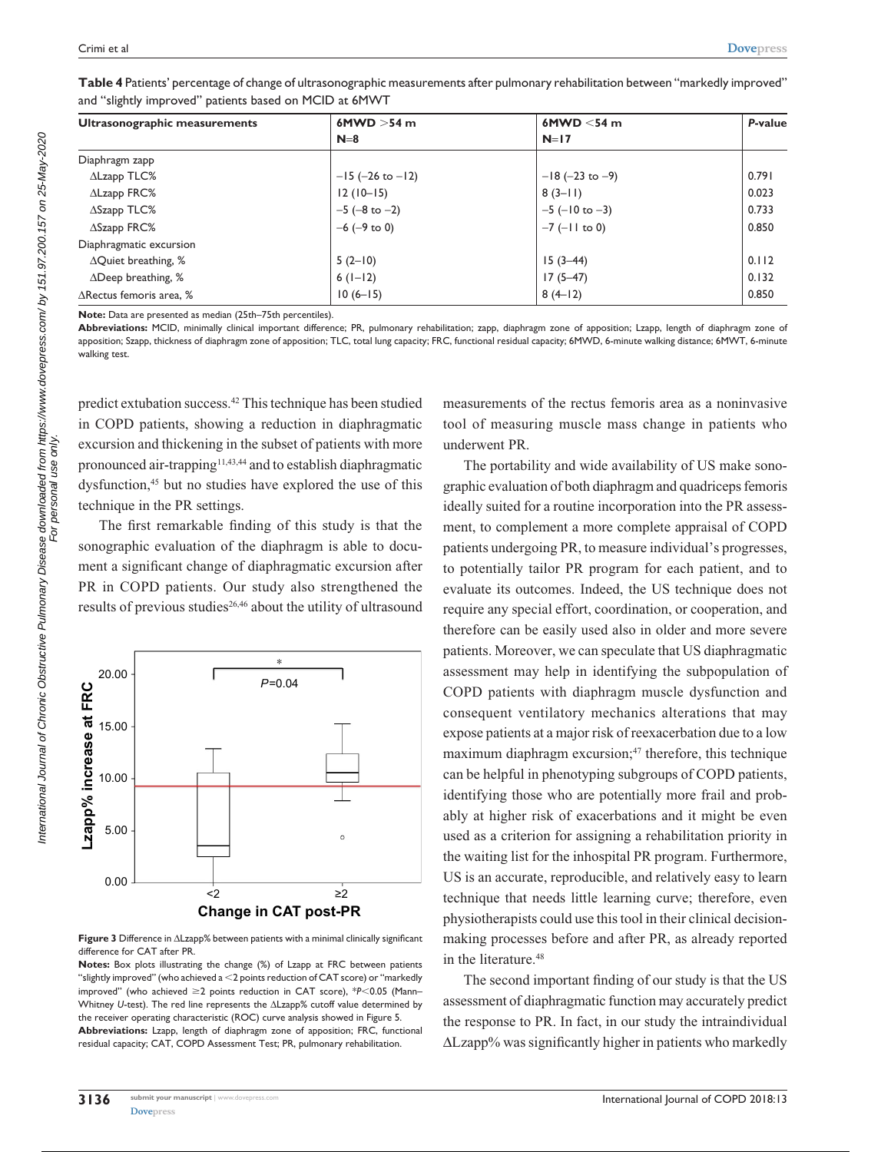| Ultrasonographic measurements      | 6MWD $>54$ m          | 6MWD $<$ 54 m          | P-value |
|------------------------------------|-----------------------|------------------------|---------|
|                                    | $N=8$                 | $N=17$                 |         |
| Diaphragm zapp                     |                       |                        |         |
| $\Delta$ Lzapp TLC%                | $-15$ (-26 to $-12$ ) | $-18$ (-23 to -9)      | 0.791   |
| $\Delta$ Lzapp FRC $\%$            | $12(10-15)$           | $8(3-11)$              | 0.023   |
| $\Delta$ Szapp TLC%                | $-5$ ( $-8$ to $-2$ ) | $-5$ ( $-10$ to $-3$ ) | 0.733   |
| $\Delta$ Szapp FRC%                | $-6$ ( $-9$ to 0)     | $-7$ ( $-11$ to 0)     | 0.850   |
| Diaphragmatic excursion            |                       |                        |         |
| $\Delta$ Quiet breathing, %        | $5(2-10)$             | $15(3-44)$             | 0.112   |
| $\triangle$ Deep breathing, %      | $6(1-12)$             | $17(5-47)$             | 0.132   |
| $\triangle$ Rectus femoris area, % | $10(6-15)$            | $8(4-12)$              | 0.850   |

**Table 4** Patients' percentage of change of ultrasonographic measurements after pulmonary rehabilitation between "markedly improved" and "slightly improved" patients based on MCID at 6MWT

**Note:** Data are presented as median (25th–75th percentiles).

**Abbreviations:** MCID, minimally clinical important difference; PR, pulmonary rehabilitation; zapp, diaphragm zone of apposition; Lzapp, length of diaphragm zone of apposition; Szapp, thickness of diaphragm zone of apposition; TLC, total lung capacity; FRC, functional residual capacity; 6MWD, 6-minute walking distance; 6MWT, 6-minute walking test.

predict extubation success.42 This technique has been studied in COPD patients, showing a reduction in diaphragmatic excursion and thickening in the subset of patients with more pronounced air-trapping<sup>11,43,44</sup> and to establish diaphragmatic dysfunction,<sup>45</sup> but no studies have explored the use of this technique in the PR settings.

The first remarkable finding of this study is that the sonographic evaluation of the diaphragm is able to document a significant change of diaphragmatic excursion after PR in COPD patients. Our study also strengthened the results of previous studies<sup>26,46</sup> about the utility of ultrasound



**Figure 3** Difference in ΔLzapp% between patients with a minimal clinically significant difference for CAT after PR.

**Notes:** Box plots illustrating the change (%) of Lzapp at FRC between patients "slightly improved" (who achieved a  $<$ 2 points reduction of CAT score) or "markedly improved" (who achieved  $\geq$ 2 points reduction in CAT score), \* $P$ <0.05 (Mann– Whitney *U*-test). The red line represents the ΔLzapp% cutoff value determined by the receiver operating characteristic (ROC) curve analysis showed in Figure 5. **Abbreviations:** Lzapp, length of diaphragm zone of apposition; FRC, functional residual capacity; CAT, COPD Assessment Test; PR, pulmonary rehabilitation.

measurements of the rectus femoris area as a noninvasive tool of measuring muscle mass change in patients who underwent PR.

The portability and wide availability of US make sonographic evaluation of both diaphragm and quadriceps femoris ideally suited for a routine incorporation into the PR assessment, to complement a more complete appraisal of COPD patients undergoing PR, to measure individual's progresses, to potentially tailor PR program for each patient, and to evaluate its outcomes. Indeed, the US technique does not require any special effort, coordination, or cooperation, and therefore can be easily used also in older and more severe patients. Moreover, we can speculate that US diaphragmatic assessment may help in identifying the subpopulation of COPD patients with diaphragm muscle dysfunction and consequent ventilatory mechanics alterations that may expose patients at a major risk of reexacerbation due to a low maximum diaphragm excursion;<sup>47</sup> therefore, this technique can be helpful in phenotyping subgroups of COPD patients, identifying those who are potentially more frail and probably at higher risk of exacerbations and it might be even used as a criterion for assigning a rehabilitation priority in the waiting list for the inhospital PR program. Furthermore, US is an accurate, reproducible, and relatively easy to learn technique that needs little learning curve; therefore, even physiotherapists could use this tool in their clinical decisionmaking processes before and after PR, as already reported in the literature.<sup>48</sup>

The second important finding of our study is that the US assessment of diaphragmatic function may accurately predict the response to PR. In fact, in our study the intraindividual ΔLzapp% was significantly higher in patients who markedly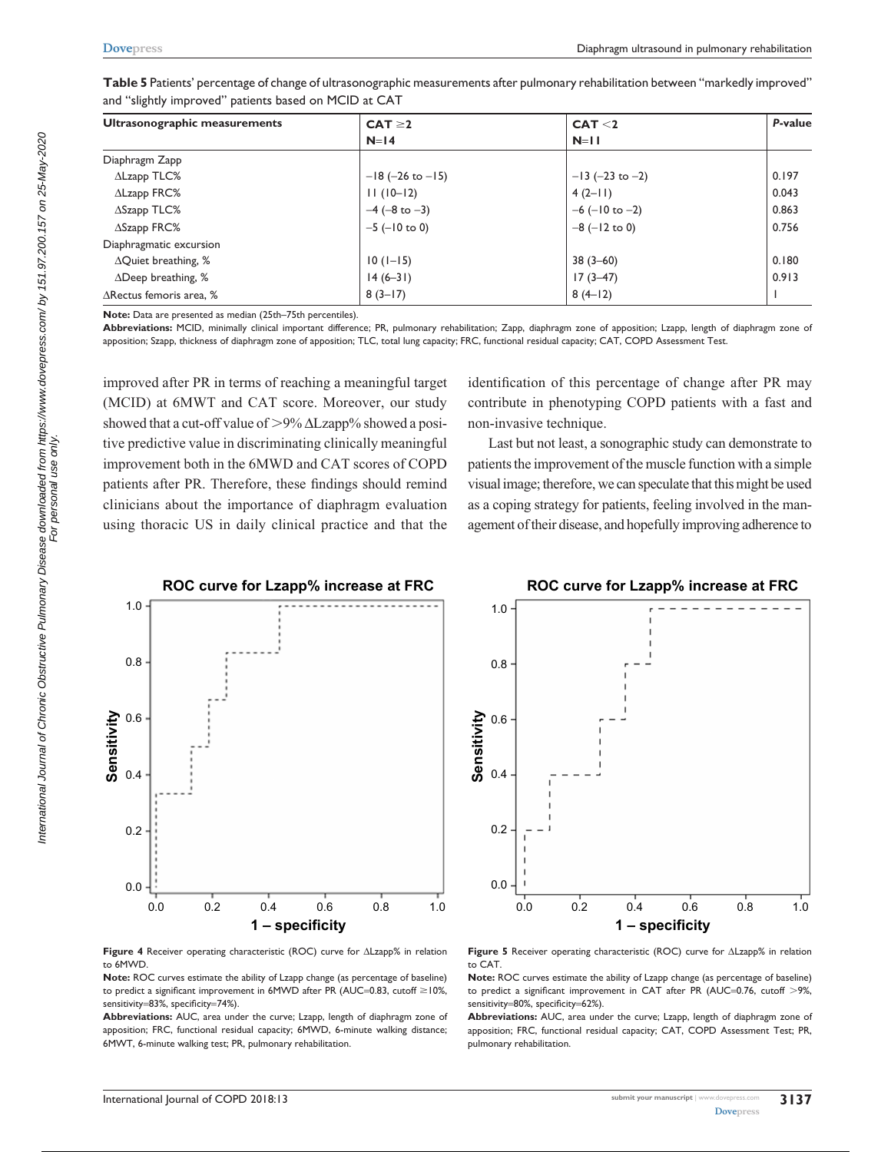| Ultrasonographic measurements      | $CAT \geq 2$          | CAT < 2                | P-value |
|------------------------------------|-----------------------|------------------------|---------|
|                                    | $N=14$                | $N=11$                 |         |
| Diaphragm Zapp                     |                       |                        |         |
| $\Delta$ Lzapp TLC%                | $-18$ (-26 to $-15$ ) | $-13$ (-23 to -2)      | 0.197   |
| $\Delta$ Lzapp FRC%                | $11(10-12)$           | $4(2-11)$              | 0.043   |
| $\triangle$ Szapp TLC%             | $-4$ (-8 to $-3$ )    | $-6$ ( $-10$ to $-2$ ) | 0.863   |
| $\Delta$ Szapp FRC%                | $-5$ ( $-10$ to 0)    | $-8$ ( $-12$ to 0)     | 0.756   |
| Diaphragmatic excursion            |                       |                        |         |
| $\Delta$ Quiet breathing, %        | $10(1-15)$            | $38(3-60)$             | 0.180   |
| $\Delta$ Deep breathing, %         | $14(6-31)$            | $17(3-47)$             | 0.913   |
| $\triangle$ Rectus femoris area, % | $8(3-17)$             | $8(4-12)$              |         |

**Table 5** Patients' percentage of change of ultrasonographic measurements after pulmonary rehabilitation between "markedly improved" and "slightly improved" patients based on MCID at CAT

**Note:** Data are presented as median (25th–75th percentiles).

**Abbreviations:** MCID, minimally clinical important difference; PR, pulmonary rehabilitation; Zapp, diaphragm zone of apposition; Lzapp, length of diaphragm zone of apposition; Szapp, thickness of diaphragm zone of apposition; TLC, total lung capacity; FRC, functional residual capacity; CAT, COPD Assessment Test.

improved after PR in terms of reaching a meaningful target (MCID) at 6MWT and CAT score. Moreover, our study showed that a cut-off value of  $>9\%$   $\Delta$ Lzapp% showed a positive predictive value in discriminating clinically meaningful improvement both in the 6MWD and CAT scores of COPD patients after PR. Therefore, these findings should remind clinicians about the importance of diaphragm evaluation using thoracic US in daily clinical practice and that the identification of this percentage of change after PR may contribute in phenotyping COPD patients with a fast and non-invasive technique.

Last but not least, a sonographic study can demonstrate to patients the improvement of the muscle function with a simple visual image; therefore, we can speculate that this might be used as a coping strategy for patients, feeling involved in the management of their disease, and hopefully improving adherence to

**ROC curve for Lzapp% increase at FRC** 



**Figure 4** Receiver operating characteristic (ROC) curve for ΔLzapp% in relation to 6MWD.

**Note:** ROC curves estimate the ability of Lzapp change (as percentage of baseline) to predict a significant improvement in  $6MWD$  after PR (AUC=0.83, cutoff  $\geq$  10%, sensitivity=83%, specificity=74%).

**Abbreviations:** AUC, area under the curve; Lzapp, length of diaphragm zone of apposition; FRC, functional residual capacity; 6MWD, 6-minute walking distance; 6MWT, 6-minute walking test; PR, pulmonary rehabilitation.

 $1.0$  $0.8$ Sensitivity Sensitivity  $0.6$  $0.4$  $0.2$  $0.0$ 0.0 0.2 0.4 0.6 0.8 1.0 1 - specificity

**Figure 5** Receiver operating characteristic (ROC) curve for ΔLzapp% in relation to CAT.

**Note:** ROC curves estimate the ability of Lzapp change (as percentage of baseline) to predict a significant improvement in CAT after PR (AUC=0.76, cutoff  $>9\%$ , sensitivity=80%, specificity=62%).

**Abbreviations:** AUC, area under the curve; Lzapp, length of diaphragm zone of apposition; FRC, functional residual capacity; CAT, COPD Assessment Test; PR, pulmonary rehabilitation.

**International Journal of COPD 2018:13 submit your manuscript**   $\frac{1}{2}$  submit your manuscript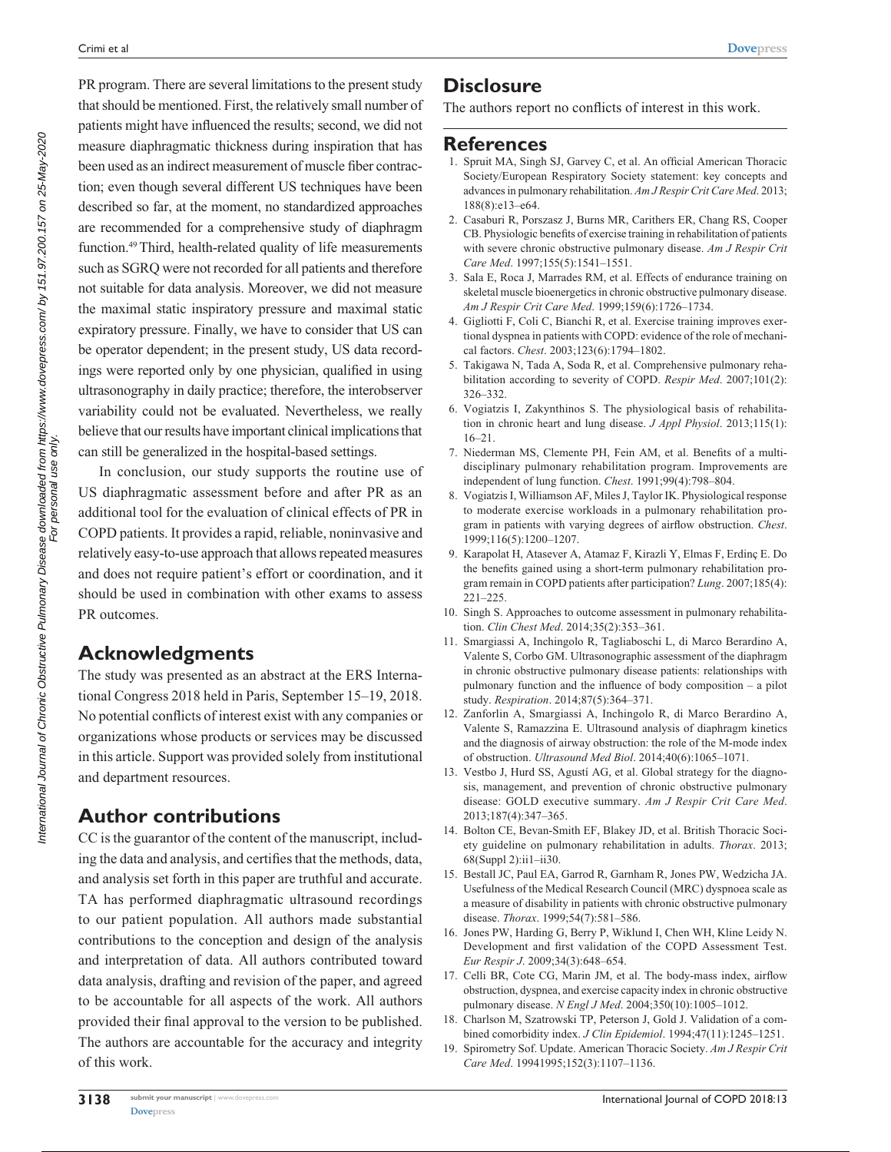PR program. There are several limitations to the present study that should be mentioned. First, the relatively small number of patients might have influenced the results; second, we did not measure diaphragmatic thickness during inspiration that has been used as an indirect measurement of muscle fiber contraction; even though several different US techniques have been described so far, at the moment, no standardized approaches are recommended for a comprehensive study of diaphragm function.49 Third, health-related quality of life measurements such as SGRQ were not recorded for all patients and therefore not suitable for data analysis. Moreover, we did not measure the maximal static inspiratory pressure and maximal static expiratory pressure. Finally, we have to consider that US can be operator dependent; in the present study, US data recordings were reported only by one physician, qualified in using ultrasonography in daily practice; therefore, the interobserver variability could not be evaluated. Nevertheless, we really believe that our results have important clinical implications that can still be generalized in the hospital-based settings.

In conclusion, our study supports the routine use of US diaphragmatic assessment before and after PR as an additional tool for the evaluation of clinical effects of PR in COPD patients. It provides a rapid, reliable, noninvasive and relatively easy-to-use approach that allows repeated measures and does not require patient's effort or coordination, and it should be used in combination with other exams to assess PR outcomes.

# **Acknowledgments**

The study was presented as an abstract at the ERS International Congress 2018 held in Paris, September 15–19, 2018. No potential conflicts of interest exist with any companies or organizations whose products or services may be discussed in this article. Support was provided solely from institutional and department resources.

# **Author contributions**

CC is the guarantor of the content of the manuscript, including the data and analysis, and certifies that the methods, data, and analysis set forth in this paper are truthful and accurate. TA has performed diaphragmatic ultrasound recordings to our patient population. All authors made substantial contributions to the conception and design of the analysis and interpretation of data. All authors contributed toward data analysis, drafting and revision of the paper, and agreed to be accountable for all aspects of the work. All authors provided their final approval to the version to be published. The authors are accountable for the accuracy and integrity of this work.

# **Disclosure**

The authors report no conflicts of interest in this work.

#### **References**

- 1. Spruit MA, Singh SJ, Garvey C, et al. An official American Thoracic Society/European Respiratory Society statement: key concepts and advances in pulmonary rehabilitation. *Am J Respir Crit Care Med*. 2013; 188(8):e13–e64.
- 2. Casaburi R, Porszasz J, Burns MR, Carithers ER, Chang RS, Cooper CB. Physiologic benefits of exercise training in rehabilitation of patients with severe chronic obstructive pulmonary disease. *Am J Respir Crit Care Med*. 1997;155(5):1541–1551.
- 3. Sala E, Roca J, Marrades RM, et al. Effects of endurance training on skeletal muscle bioenergetics in chronic obstructive pulmonary disease. *Am J Respir Crit Care Med*. 1999;159(6):1726–1734.
- 4. Gigliotti F, Coli C, Bianchi R, et al. Exercise training improves exertional dyspnea in patients with COPD: evidence of the role of mechanical factors. *Chest*. 2003;123(6):1794–1802.
- 5. Takigawa N, Tada A, Soda R, et al. Comprehensive pulmonary rehabilitation according to severity of COPD. *Respir Med*. 2007;101(2): 326–332.
- 6. Vogiatzis I, Zakynthinos S. The physiological basis of rehabilitation in chronic heart and lung disease. *J Appl Physiol*. 2013;115(1): 16–21.
- 7. Niederman MS, Clemente PH, Fein AM, et al. Benefits of a multidisciplinary pulmonary rehabilitation program. Improvements are independent of lung function. *Chest*. 1991;99(4):798–804.
- 8. Vogiatzis I, Williamson AF, Miles J, Taylor IK. Physiological response to moderate exercise workloads in a pulmonary rehabilitation program in patients with varying degrees of airflow obstruction. *Chest*. 1999;116(5):1200–1207.
- 9. Karapolat H, Atasever A, Atamaz F, Kirazli Y, Elmas F, Erdinç E. Do the benefits gained using a short-term pulmonary rehabilitation program remain in COPD patients after participation? *Lung*. 2007;185(4): 221–225.
- 10. Singh S. Approaches to outcome assessment in pulmonary rehabilitation. *Clin Chest Med*. 2014;35(2):353–361.
- 11. Smargiassi A, Inchingolo R, Tagliaboschi L, di Marco Berardino A, Valente S, Corbo GM. Ultrasonographic assessment of the diaphragm in chronic obstructive pulmonary disease patients: relationships with pulmonary function and the influence of body composition – a pilot study. *Respiration*. 2014;87(5):364–371.
- 12. Zanforlin A, Smargiassi A, Inchingolo R, di Marco Berardino A, Valente S, Ramazzina E. Ultrasound analysis of diaphragm kinetics and the diagnosis of airway obstruction: the role of the M-mode index of obstruction. *Ultrasound Med Biol*. 2014;40(6):1065–1071.
- 13. Vestbo J, Hurd SS, Agustí AG, et al. Global strategy for the diagnosis, management, and prevention of chronic obstructive pulmonary disease: GOLD executive summary. *Am J Respir Crit Care Med*. 2013;187(4):347–365.
- 14. Bolton CE, Bevan-Smith EF, Blakey JD, et al. British Thoracic Society guideline on pulmonary rehabilitation in adults. *Thorax*. 2013; 68(Suppl 2):ii1–ii30.
- 15. Bestall JC, Paul EA, Garrod R, Garnham R, Jones PW, Wedzicha JA. Usefulness of the Medical Research Council (MRC) dyspnoea scale as a measure of disability in patients with chronic obstructive pulmonary disease. *Thorax*. 1999;54(7):581–586.
- 16. Jones PW, Harding G, Berry P, Wiklund I, Chen WH, Kline Leidy N. Development and first validation of the COPD Assessment Test. *Eur Respir J*. 2009;34(3):648–654.
- 17. Celli BR, Cote CG, Marin JM, et al. The body-mass index, airflow obstruction, dyspnea, and exercise capacity index in chronic obstructive pulmonary disease. *N Engl J Med*. 2004;350(10):1005–1012.
- 18. Charlson M, Szatrowski TP, Peterson J, Gold J. Validation of a combined comorbidity index. *J Clin Epidemiol*. 1994;47(11):1245–1251.
- 19. Spirometry Sof. Update. American Thoracic Society. *Am J Respir Crit Care Med*. 19941995;152(3):1107–1136.